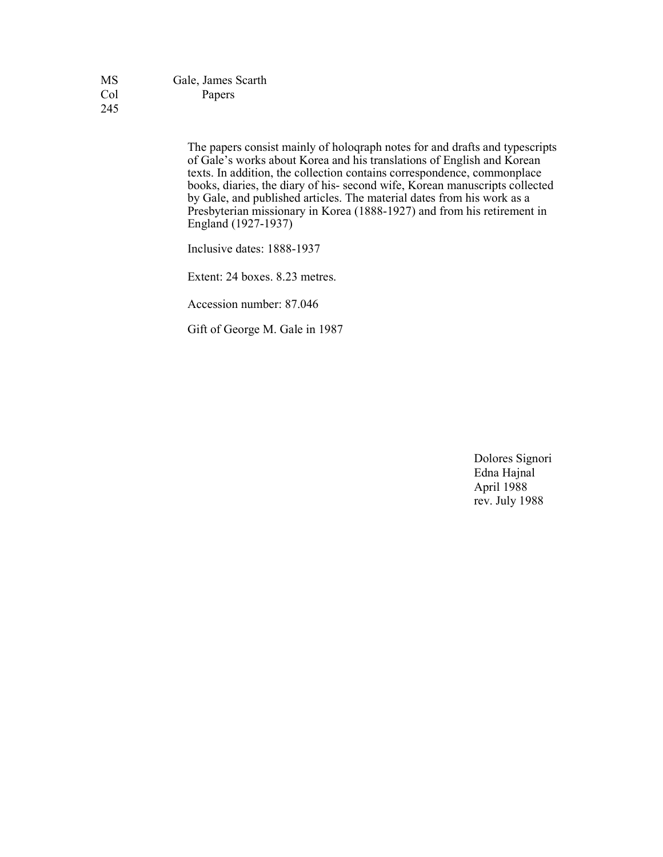| MS  | Gale, James Scarth |
|-----|--------------------|
| Col | Papers             |
| 245 |                    |

The papers consist mainly of holoqraph notes for and drafts and typescripts of Gale's works about Korea and his translations of English and Korean texts. In addition, the collection contains correspondence, commonplace books, diaries, the diary of his- second wife, Korean manuscripts collected by Gale, and published articles. The material dates from his work as a Presbyterian missionary in Korea (1888-1927) and from his retirement in England (1927-1937)

Inclusive dates: 1888-1937

Extent: 24 boxes. 8.23 metres.

Accession number: 87.046

Gift of George M. Gale in 1987

Dolores Signori Edna Hajnal April 1988 rev. July 1988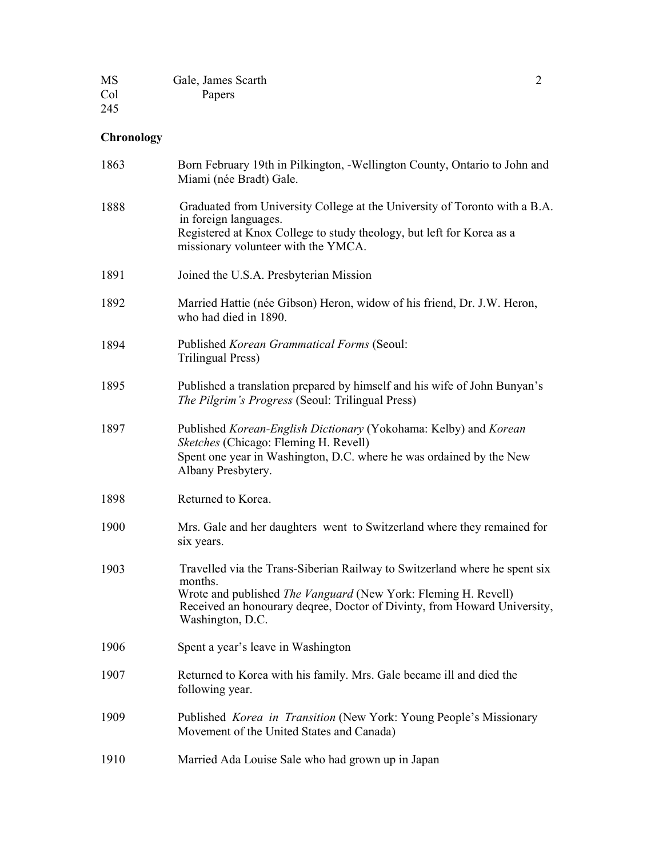| <b>MS</b> | Gale, James Scarth |  |
|-----------|--------------------|--|
| Col       | Papers             |  |
| 245       |                    |  |

# **Chronology**

| 1863 | Born February 19th in Pilkington, -Wellington County, Ontario to John and<br>Miami (née Bradt) Gale.                                                                                                                                                           |
|------|----------------------------------------------------------------------------------------------------------------------------------------------------------------------------------------------------------------------------------------------------------------|
| 1888 | Graduated from University College at the University of Toronto with a B.A.<br>in foreign languages.<br>Registered at Knox College to study theology, but left for Korea as a<br>missionary volunteer with the YMCA.                                            |
| 1891 | Joined the U.S.A. Presbyterian Mission                                                                                                                                                                                                                         |
| 1892 | Married Hattie (née Gibson) Heron, widow of his friend, Dr. J.W. Heron,<br>who had died in 1890.                                                                                                                                                               |
| 1894 | Published Korean Grammatical Forms (Seoul:<br>Trilingual Press)                                                                                                                                                                                                |
| 1895 | Published a translation prepared by himself and his wife of John Bunyan's<br>The Pilgrim's Progress (Seoul: Trilingual Press)                                                                                                                                  |
| 1897 | Published Korean-English Dictionary (Yokohama: Kelby) and Korean<br>Sketches (Chicago: Fleming H. Revell)<br>Spent one year in Washington, D.C. where he was ordained by the New<br>Albany Presbytery.                                                         |
| 1898 | Returned to Korea.                                                                                                                                                                                                                                             |
| 1900 | Mrs. Gale and her daughters went to Switzerland where they remained for<br>six years.                                                                                                                                                                          |
| 1903 | Travelled via the Trans-Siberian Railway to Switzerland where he spent six<br>months.<br>Wrote and published <i>The Vanguard</i> (New York: Fleming H. Revell)<br>Received an honourary degree, Doctor of Divinty, from Howard University,<br>Washington, D.C. |
| 1906 | Spent a year's leave in Washington                                                                                                                                                                                                                             |
| 1907 | Returned to Korea with his family. Mrs. Gale became ill and died the<br>following year.                                                                                                                                                                        |
| 1909 | Published Korea in Transition (New York: Young People's Missionary<br>Movement of the United States and Canada)                                                                                                                                                |
| 1910 | Married Ada Louise Sale who had grown up in Japan                                                                                                                                                                                                              |
|      |                                                                                                                                                                                                                                                                |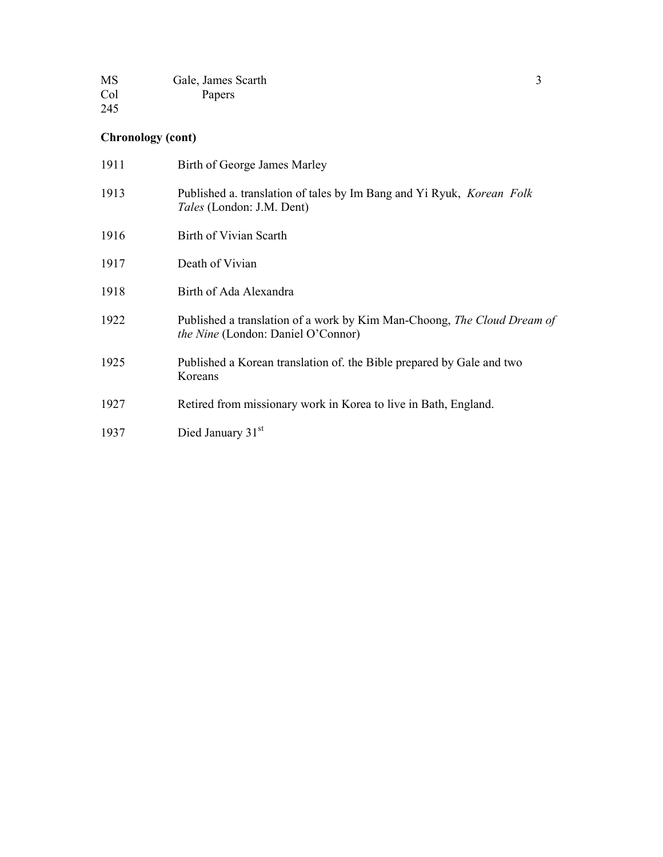| <b>MS</b> | Gale, James Scarth |  |
|-----------|--------------------|--|
| Col       | Papers             |  |
| 245       |                    |  |

# Chronology (cont)

| 1911 | Birth of George James Marley                                                                                         |
|------|----------------------------------------------------------------------------------------------------------------------|
| 1913 | Published a. translation of tales by Im Bang and Yi Ryuk, Korean Folk<br><i>Tales</i> (London: J.M. Dent)            |
| 1916 | Birth of Vivian Scarth                                                                                               |
| 1917 | Death of Vivian                                                                                                      |
| 1918 | Birth of Ada Alexandra                                                                                               |
| 1922 | Published a translation of a work by Kim Man-Choong, The Cloud Dream of<br><i>the Nine</i> (London: Daniel O'Connor) |
| 1925 | Published a Korean translation of the Bible prepared by Gale and two<br>Koreans                                      |
| 1927 | Retired from missionary work in Korea to live in Bath, England.                                                      |
| 1937 | Died January 31st                                                                                                    |
|      |                                                                                                                      |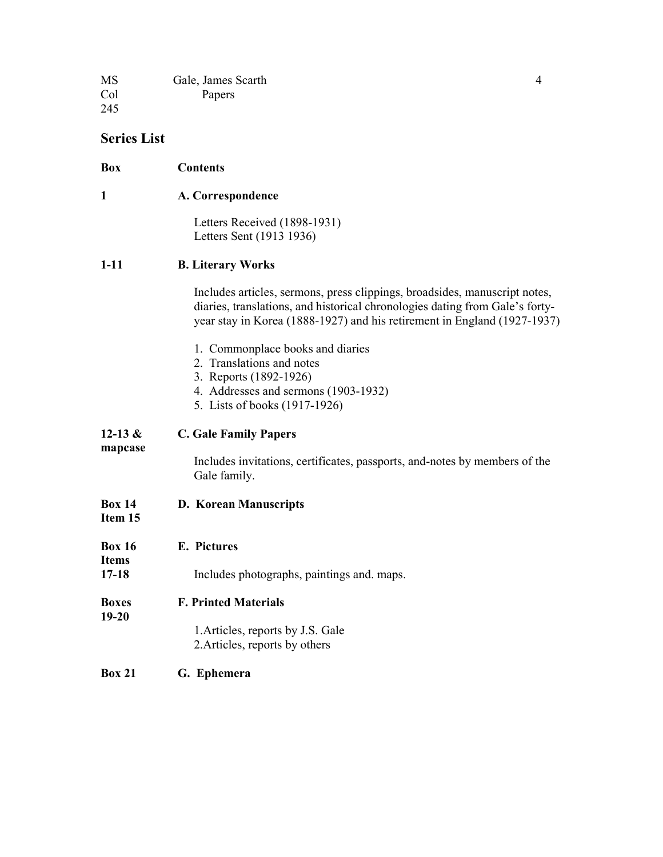| <b>MS</b> | Gale, James Scarth |  |
|-----------|--------------------|--|
| Col       | Papers             |  |
| 245       |                    |  |

# Series List

| <b>Box</b>                | <b>Contents</b>                                                                                                                                                                                                                        |  |
|---------------------------|----------------------------------------------------------------------------------------------------------------------------------------------------------------------------------------------------------------------------------------|--|
| $\mathbf{1}$              | A. Correspondence                                                                                                                                                                                                                      |  |
|                           | Letters Received (1898-1931)<br>Letters Sent (1913 1936)                                                                                                                                                                               |  |
| $1 - 11$                  | <b>B. Literary Works</b>                                                                                                                                                                                                               |  |
|                           | Includes articles, sermons, press clippings, broadsides, manuscript notes,<br>diaries, translations, and historical chronologies dating from Gale's forty-<br>year stay in Korea (1888-1927) and his retirement in England (1927-1937) |  |
|                           | 1. Commonplace books and diaries<br>2. Translations and notes<br>3. Reports (1892-1926)<br>4. Addresses and sermons (1903-1932)<br>5. Lists of books (1917-1926)                                                                       |  |
| 12-13 $\&$                | <b>C. Gale Family Papers</b>                                                                                                                                                                                                           |  |
| mapcase                   | Includes invitations, certificates, passports, and-notes by members of the<br>Gale family.                                                                                                                                             |  |
| <b>Box 14</b><br>Item 15  | <b>D. Korean Manuscripts</b>                                                                                                                                                                                                           |  |
| <b>Box 16</b>             | E. Pictures                                                                                                                                                                                                                            |  |
| <b>Items</b><br>$17 - 18$ | Includes photographs, paintings and maps.                                                                                                                                                                                              |  |
| <b>Boxes</b><br>$19 - 20$ | <b>F. Printed Materials</b>                                                                                                                                                                                                            |  |
|                           | 1. Articles, reports by J.S. Gale<br>2. Articles, reports by others                                                                                                                                                                    |  |
| <b>Box 21</b>             | G. Ephemera                                                                                                                                                                                                                            |  |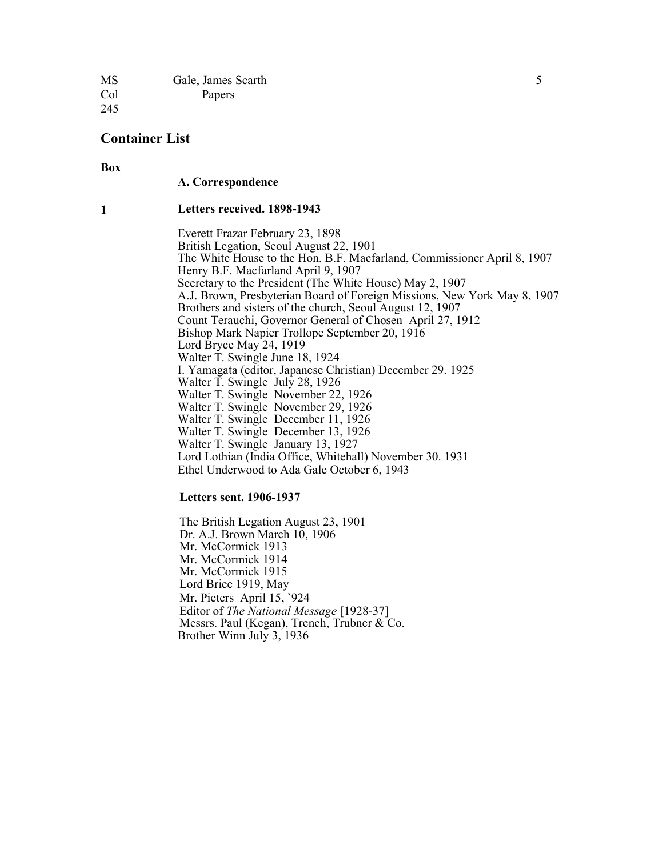| <b>MS</b> | Gale, James Scarth |  |
|-----------|--------------------|--|
| Col       | Papers             |  |
| 245       |                    |  |

## Container List

Box

A. Correspondence

1 Letters received. 1898-1943

Everett Frazar February 23, 1898 British Legation, Seoul August 22, 1901 The White House to the Hon. B.F. Macfarland, Commissioner April 8, 1907 Henry B.F. Macfarland April 9, 1907 Secretary to the President (The White House) May 2, 1907 A.J. Brown, Presbyterian Board of Foreign Missions, New York May 8, 1907 Brothers and sisters of the church, Seoul August 12, 1907 Count Terauchi, Governor General of Chosen April 27, 1912 Bishop Mark Napier Trollope September 20, 1916 Lord Bryce May 24, 1919 Walter T. Swingle June 18, 1924 I. Yamagata (editor, Japanese Christian) December 29. 1925 Walter T. Swingle July 28, 1926 Walter T. Swingle November 22, 1926 Walter T. Swingle November 29, 1926 Walter T. Swingle December 11, 1926 Walter T. Swingle December 13, 1926 Walter T. Swingle January 13, 1927 Lord Lothian (India Office, Whitehall) November 30. 1931 Ethel Underwood to Ada Gale October 6, 1943

#### Letters sent. 1906-1937

The British Legation August 23, 1901 Dr. A.J. Brown March 10, 1906 Mr. McCormick 1913 Mr. McCormick 1914 Mr. McCormick 1915 Lord Brice 1919, May Mr. Pieters April 15, `924 Editor of The National Message [1928-37] Messrs. Paul (Kegan), Trench, Trubner & Co. Brother Winn July 3, 1936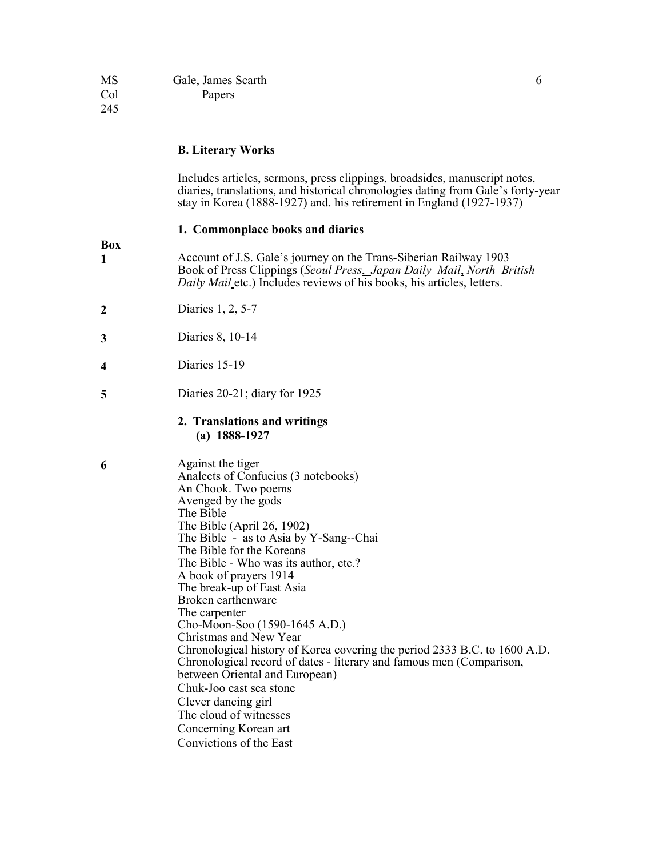Includes articles, sermons, press clippings, broadsides, manuscript notes, diaries, translations, and historical chronologies dating from Gale's forty-year stay in Korea (1888-1927) and. his retirement in England (1927-1937)

## 1. Commonplace books and diaries

| <b>Box</b>       |                                                                                                                                                                                                                                                                                                                                                                                                                                                                                                                                                                                                                                                                                               |
|------------------|-----------------------------------------------------------------------------------------------------------------------------------------------------------------------------------------------------------------------------------------------------------------------------------------------------------------------------------------------------------------------------------------------------------------------------------------------------------------------------------------------------------------------------------------------------------------------------------------------------------------------------------------------------------------------------------------------|
| $\mathbf{1}$     | Account of J.S. Gale's journey on the Trans-Siberian Railway 1903<br>Book of Press Clippings (Seoul Press, Japan Daily Mail, North British<br>Daily Mail etc.) Includes reviews of his books, his articles, letters.                                                                                                                                                                                                                                                                                                                                                                                                                                                                          |
| $\boldsymbol{2}$ | Diaries 1, 2, 5-7                                                                                                                                                                                                                                                                                                                                                                                                                                                                                                                                                                                                                                                                             |
| 3                | Diaries 8, 10-14                                                                                                                                                                                                                                                                                                                                                                                                                                                                                                                                                                                                                                                                              |
| 4                | Diaries 15-19                                                                                                                                                                                                                                                                                                                                                                                                                                                                                                                                                                                                                                                                                 |
| 5                | Diaries 20-21; diary for 1925                                                                                                                                                                                                                                                                                                                                                                                                                                                                                                                                                                                                                                                                 |
|                  | 2. Translations and writings<br>(a) $1888-1927$                                                                                                                                                                                                                                                                                                                                                                                                                                                                                                                                                                                                                                               |
| 6                | Against the tiger<br>Analects of Confucius (3 notebooks)<br>An Chook. Two poems<br>Avenged by the gods<br>The Bible<br>The Bible (April 26, 1902)<br>The Bible - as to Asia by Y-Sang--Chai<br>The Bible for the Koreans<br>The Bible - Who was its author, etc.?<br>A book of prayers 1914<br>The break-up of East Asia<br>Broken earthenware<br>The carpenter<br>Cho-Moon-Soo (1590-1645 A.D.)<br>Christmas and New Year<br>Chronological history of Korea covering the period 2333 B.C. to 1600 A.D.<br>Chronological record of dates - literary and famous men (Comparison,<br>between Oriental and European)<br>Chuk-Joo east sea stone<br>Clever dancing girl<br>The cloud of witnesses |

Concerning Korean art

Convictions of the East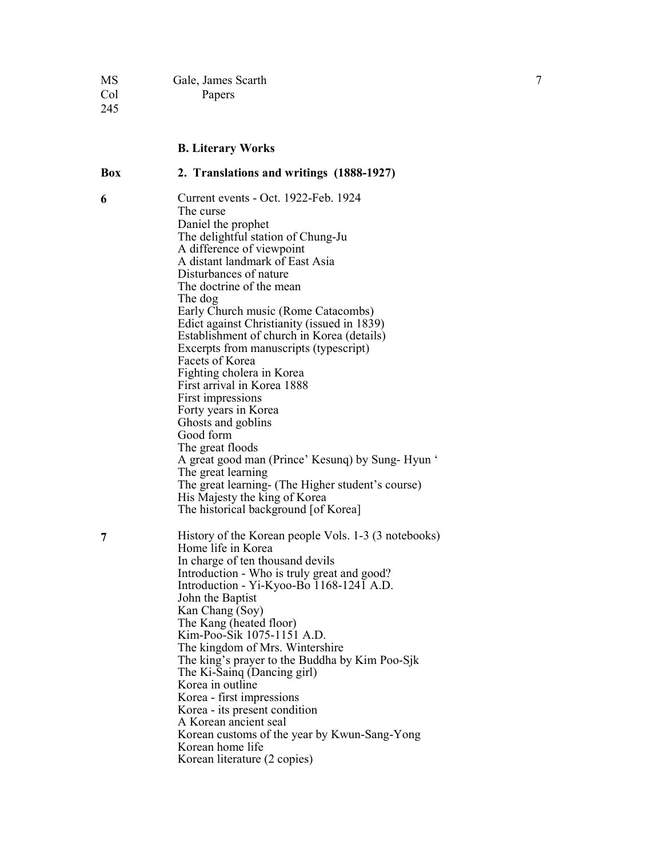| <b>MS</b> | Gale, James Scarth | $\mathbf{r}$ |
|-----------|--------------------|--------------|
| Col       | Papers             |              |
| 245       |                    |              |

# B. Literary Works

#### Box 2. Translations and writings (1888-1927)

| 6 | Current events - Oct. 1922-Feb. 1924<br>The curse<br>Daniel the prophet<br>The delightful station of Chung-Ju<br>A difference of viewpoint<br>A distant landmark of East Asia<br>Disturbances of nature<br>The doctrine of the mean<br>The dog<br>Early Church music (Rome Catacombs)<br>Edict against Christianity (issued in 1839)<br>Establishment of church in Korea (details)<br>Excerpts from manuscripts (typescript)<br>Facets of Korea<br>Fighting cholera in Korea<br>First arrival in Korea 1888<br>First impressions<br>Forty years in Korea<br>Ghosts and goblins<br>Good form<br>The great floods<br>A great good man (Prince' Kesung) by Sung-Hyun '<br>The great learning |
|---|-------------------------------------------------------------------------------------------------------------------------------------------------------------------------------------------------------------------------------------------------------------------------------------------------------------------------------------------------------------------------------------------------------------------------------------------------------------------------------------------------------------------------------------------------------------------------------------------------------------------------------------------------------------------------------------------|
|   | The great learning- (The Higher student's course)<br>His Majesty the king of Korea<br>The historical background [of Korea]                                                                                                                                                                                                                                                                                                                                                                                                                                                                                                                                                                |
| 7 | History of the Korean people Vols. 1-3 (3 notebooks)<br>Home life in Korea<br>In charge of ten thousand devils<br>Introduction - Who is truly great and good?<br>Introduction - Yi-Kyoo-Bo 1168-1241 A.D.<br>John the Baptist<br>Kan Chang (Soy)<br>The Kang (heated floor)<br>Kim-Poo-Sik 1075-1151 A.D.<br>The kingdom of Mrs. Wintershire<br>The king's prayer to the Buddha by Kim Poo-Sik<br>The Ki-Sainq (Dancing girl)<br>Korea in outline<br>Korea - first impressions<br>Korea - its present condition<br>A Korean ancient seal<br>Korean customs of the year by Kwun-Sang-Yong<br>Korean home life<br>Korean literature (2 copies)                                              |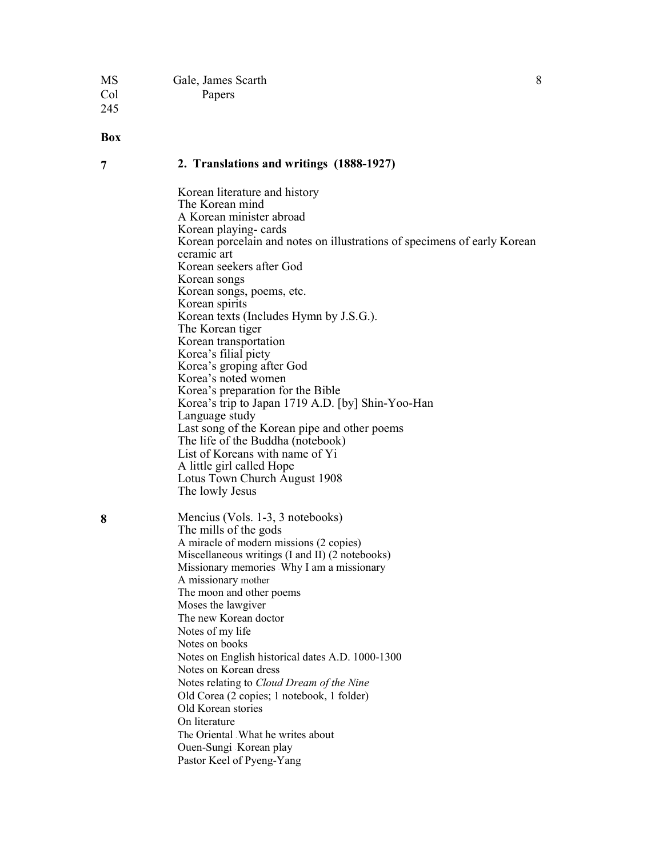| <b>MS</b> | Gale, James Scarth |  |
|-----------|--------------------|--|
| Col       | <b>Papers</b>      |  |
| 245       |                    |  |

### Box

## 7 2. Translations and writings (1888-1927)

Korean literature and history The Korean mind A Korean minister abroad Korean playing- cards Korean porcelain and notes on illustrations of specimens of early Korean ceramic art Korean seekers after God Korean songs Korean songs, poems, etc. Korean spirits Korean texts (Includes Hymn by J.S.G.). The Korean tiger Korean transportation Korea's filial piety Korea's groping after God Korea's noted women Korea's preparation for the Bible Korea's trip to Japan 1719 A.D. [by] Shin-Yoo-Han Language study Last song of the Korean pipe and other poems The life of the Buddha (notebook) List of Koreans with name of Yi A little girl called Hope Lotus Town Church August 1908 The lowly Jesus 8 Mencius (Vols. 1-3, 3 notebooks) The mills of the gods A miracle of modern missions (2 copies) Miscellaneous writings (I and II) (2 notebooks)

Missionary memories - Why I am a missionary A missionary mother The moon and other poems Moses the lawgiver The new Korean doctor Notes of my life Notes on books Notes on English historical dates A.D. 1000-1300 Notes on Korean dress Notes relating to Cloud Dream of the Nine Old Corea (2 copies; 1 notebook, 1 folder) Old Korean stories On literature The Oriental - What he writes about Ouen-Sungi <sub>Korean play</sub> Pastor Keel of Pyeng-Yang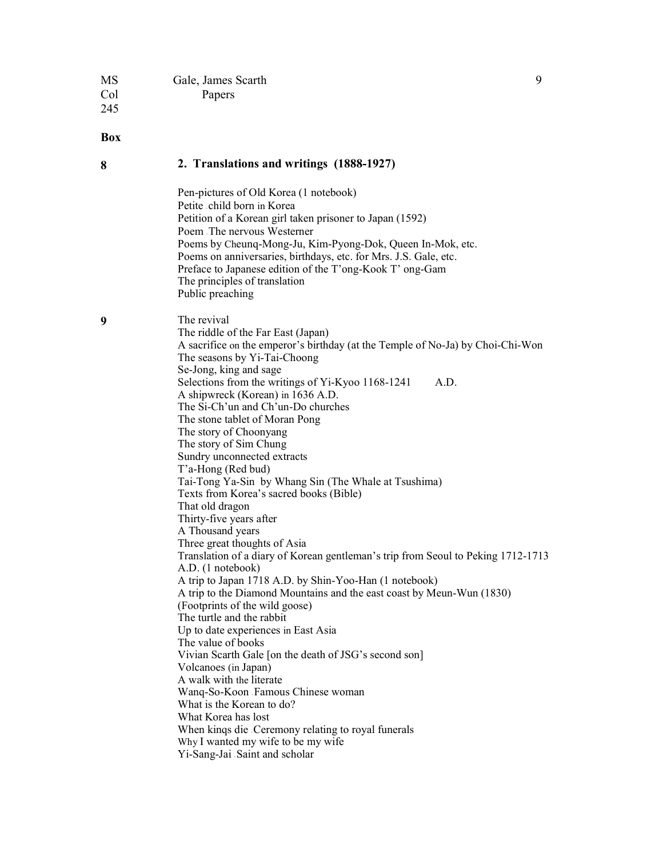| <b>MS</b> | Gale, James Scarth |  |
|-----------|--------------------|--|
| Col       | Papers             |  |
| 245       |                    |  |

Box

# 8 2. Translations and writings (1888-1927)

|   | Pen-pictures of Old Korea (1 notebook)<br>Petite child born in Korea<br>Petition of a Korean girl taken prisoner to Japan (1592)<br>Poem The nervous Westerner<br>Poems by Cheunq-Mong-Ju, Kim-Pyong-Dok, Queen In-Mok, etc.<br>Poems on anniversaries, birthdays, etc. for Mrs. J.S. Gale, etc.<br>Preface to Japanese edition of the T'ong-Kook T' ong-Gam<br>The principles of translation<br>Public preaching                                                                                                                                                                                                                                                                                                                                                                                                                                                                                                                                                                                                                                                                                                                                                                                                                                                                                                         |
|---|---------------------------------------------------------------------------------------------------------------------------------------------------------------------------------------------------------------------------------------------------------------------------------------------------------------------------------------------------------------------------------------------------------------------------------------------------------------------------------------------------------------------------------------------------------------------------------------------------------------------------------------------------------------------------------------------------------------------------------------------------------------------------------------------------------------------------------------------------------------------------------------------------------------------------------------------------------------------------------------------------------------------------------------------------------------------------------------------------------------------------------------------------------------------------------------------------------------------------------------------------------------------------------------------------------------------------|
| 9 | The revival<br>The riddle of the Far East (Japan)<br>A sacrifice on the emperor's birthday (at the Temple of No-Ja) by Choi-Chi-Won<br>The seasons by Yi-Tai-Choong<br>Se-Jong, king and sage<br>Selections from the writings of Yi-Kyoo 1168-1241<br>A.D.<br>A shipwreck (Korean) in 1636 A.D.<br>The Si-Ch'un and Ch'un-Do churches<br>The stone tablet of Moran Pong<br>The story of Choonyang<br>The story of Sim Chung<br>Sundry unconnected extracts<br>T'a-Hong (Red bud)<br>Tai-Tong Ya-Sin by Whang Sin (The Whale at Tsushima)<br>Texts from Korea's sacred books (Bible)<br>That old dragon<br>Thirty-five years after<br>A Thousand years<br>Three great thoughts of Asia<br>Translation of a diary of Korean gentleman's trip from Seoul to Peking 1712-1713<br>A.D. (1 notebook)<br>A trip to Japan 1718 A.D. by Shin-Yoo-Han (1 notebook)<br>A trip to the Diamond Mountains and the east coast by Meun-Wun (1830)<br>(Footprints of the wild goose)<br>The turtle and the rabbit<br>Up to date experiences in East Asia<br>The value of books<br>Vivian Scarth Gale [on the death of JSG's second son]<br>Volcanoes (in Japan)<br>A walk with the literate<br>Wanq-So-Koon Famous Chinese woman<br>What is the Korean to do?<br>What Korea has lost<br>When kings die Ceremony relating to royal funerals |
|   | Why I wanted my wife to be my wife<br>Yi-Sang-Jai Saint and scholar                                                                                                                                                                                                                                                                                                                                                                                                                                                                                                                                                                                                                                                                                                                                                                                                                                                                                                                                                                                                                                                                                                                                                                                                                                                       |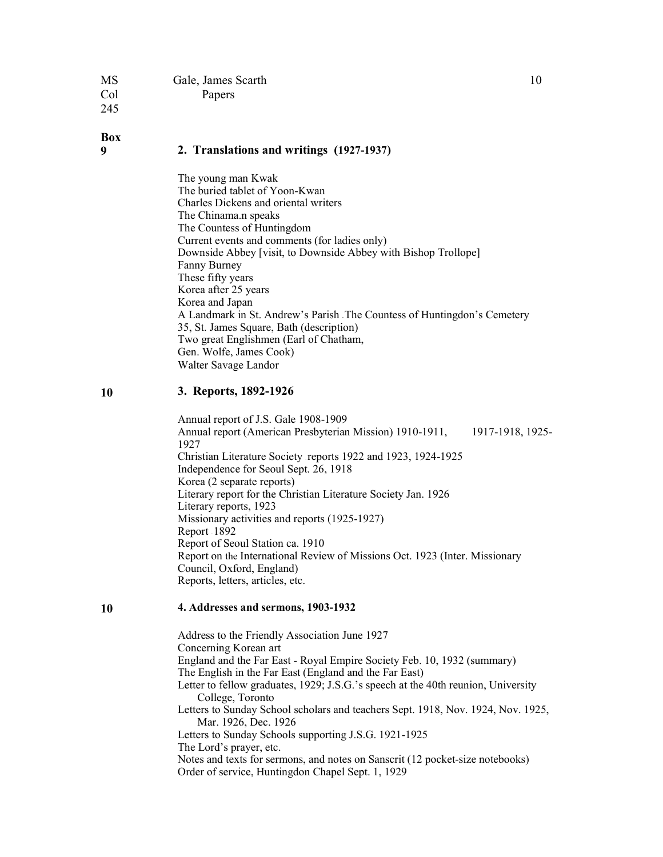## MS Gale, James Scarth 10 Col Papers

245

Box

## 9 2. Translations and writings (1927-1937)

| The young man Kwak<br>The buried tablet of Yoon-Kwan                    |
|-------------------------------------------------------------------------|
| Charles Dickens and oriental writers                                    |
| The Chinama.n speaks                                                    |
| The Countess of Huntingdom                                              |
| Current events and comments (for ladies only)                           |
| Downside Abbey [visit, to Downside Abbey with Bishop Trollope]          |
| <b>Fanny Burney</b>                                                     |
| These fifty years                                                       |
| Korea after 25 years                                                    |
| Korea and Japan                                                         |
| A Landmark in St. Andrew's Parish The Countess of Huntingdon's Cemetery |
| 35, St. James Square, Bath (description)                                |
| Two great Englishmen (Earl of Chatham,                                  |
| Gen. Wolfe, James Cook)                                                 |
| Walter Savage Landor                                                    |

#### 10 3. Reports, 1892-1926

Annual report of J.S. Gale 1908-1909 Annual report (American Presbyterian Mission) 1910-1911, 1917-1918, 1925-1927 Christian Literature Society - reports 1922 and 1923, 1924-1925 Independence for Seoul Sept. 26, 1918 Korea (2 separate reports) Literary report for the Christian Literature Society Jan. 1926 Literary reports, 1923 Missionary activities and reports (1925-1927) Report - 1892 Report of Seoul Station ca. 1910 Report on the International Review of Missions Oct. 1923 (Inter. Missionary Council, Oxford, England) Reports, letters, articles, etc.

## 10 4. Addresses and sermons, 1903-1932

Address to the Friendly Association June 1927 Concerning Korean art England and the Far East - Royal Empire Society Feb. 10, 1932 (summary) The English in the Far East (England and the Far East) Letter to fellow graduates, 1929; J.S.G.'s speech at the 40th reunion, University College, Toronto Letters to Sunday School scholars and teachers Sept. 1918, Nov. 1924, Nov. 1925, Mar. 1926, Dec. 1926 Letters to Sunday Schools supporting J.S.G. 1921-1925 The Lord's prayer, etc. Notes and texts for sermons, and notes on Sanscrit (12 pocket-size notebooks) Order of service, Huntingdon Chapel Sept. 1, 1929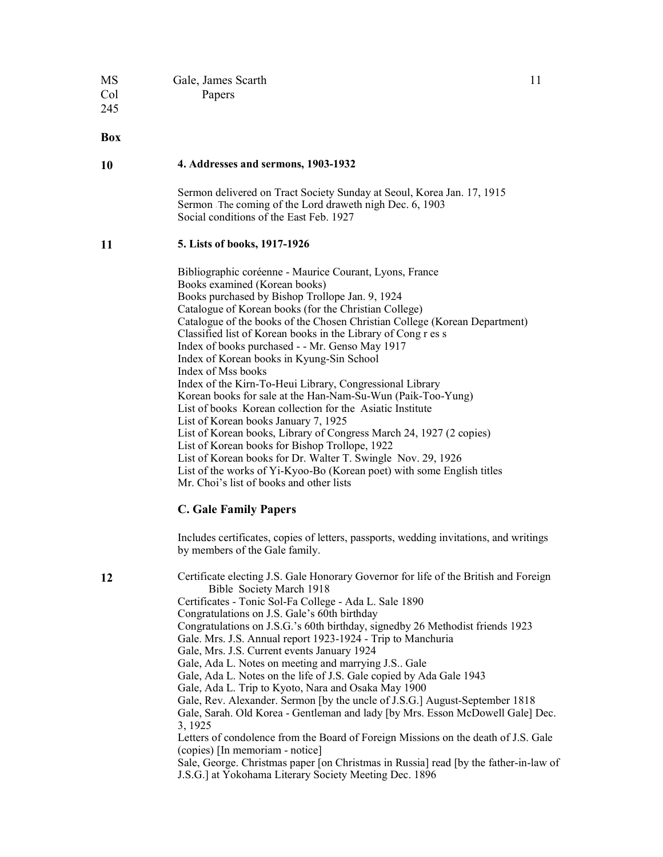| <b>MS</b> | Gale, James Scarth |  |
|-----------|--------------------|--|
| Col       | Papers             |  |

245

Box

#### 10 4. Addresses and sermons, 1903-1932

Sermon delivered on Tract Society Sunday at Seoul, Korea Jan. 17, 1915 Sermon The coming of the Lord draweth nigh Dec. 6, 1903 Social conditions of the East Feb. 1927

## 11 5. Lists of books, 1917-1926

Bibliographic coréenne - Maurice Courant, Lyons, France Books examined (Korean books) Books purchased by Bishop Trollope Jan. 9, 1924 Catalogue of Korean books (for the Christian College) Catalogue of the books of the Chosen Christian College (Korean Department) Classified list of Korean books in the Library of Cong r es s Index of books purchased - - Mr. Genso May 1917 Index of Korean books in Kyung-Sin School Index of Mss books Index of the Kirn-To-Heui Library, Congressional Library Korean books for sale at the Han-Nam-Su-Wun (Paik-Too-Yung) List of books <sub>Korean</sub> collection for the Asiatic Institute List of Korean books January 7, 1925 List of Korean books, Library of Congress March 24, 1927 (2 copies) List of Korean books for Bishop Trollope, 1922 List of Korean books for Dr. Walter T. Swingle Nov. 29, 1926 List of the works of Yi-Kyoo-Bo (Korean poet) with some English titles Mr. Choi's list of books and other lists

## C. Gale Family Papers

Includes certificates, copies of letters, passports, wedding invitations, and writings by members of the Gale family.

12 Certificate electing J.S. Gale Honorary Governor for life of the British and Foreign Bible Society March 1918 Certificates - Tonic Sol-Fa College - Ada L. Sale 1890 Congratulations on J.S. Gale's 60th birthday Congratulations on J.S.G.'s 60th birthday, signedby 26 Methodist friends 1923 Gale. Mrs. J.S. Annual report 1923-1924 - Trip to Manchuria Gale, Mrs. J.S. Current events January 1924 Gale, Ada L. Notes on meeting and marrying J.S.. Gale Gale, Ada L. Notes on the life of J.S. Gale copied by Ada Gale 1943 Gale, Ada L. Trip to Kyoto, Nara and Osaka May 1900 Gale, Rev. Alexander. Sermon [by the uncle of J.S.G.] August-September 1818 Gale, Sarah. Old Korea - Gentleman and lady [by Mrs. Esson McDowell Gale] Dec. 3, 1925 Letters of condolence from the Board of Foreign Missions on the death of J.S. Gale (copies) [In memoriam - notice] Sale, George. Christmas paper [on Christmas in Russia] read [by the father-in-law of J.S.G.] at Yokohama Literary Society Meeting Dec. 1896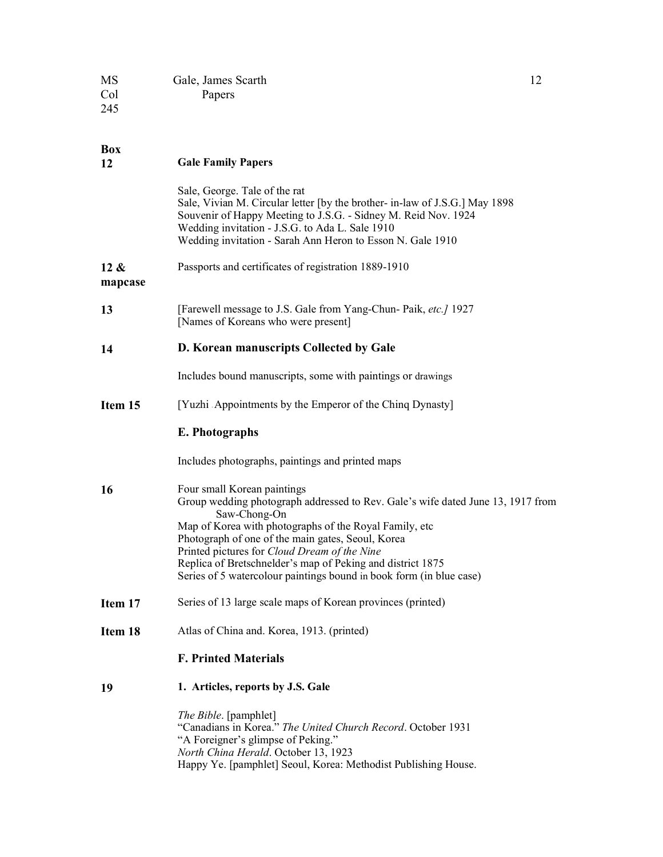## MS Gale, James Scarth 12<br>Col Papers Papers 245

| 12              | <b>Gale Family Papers</b>                                                                                                                                                                                                                                                                                                                                                                                                          |
|-----------------|------------------------------------------------------------------------------------------------------------------------------------------------------------------------------------------------------------------------------------------------------------------------------------------------------------------------------------------------------------------------------------------------------------------------------------|
|                 | Sale, George. Tale of the rat<br>Sale, Vivian M. Circular letter [by the brother- in-law of J.S.G.] May 1898<br>Souvenir of Happy Meeting to J.S.G. - Sidney M. Reid Nov. 1924<br>Wedding invitation - J.S.G. to Ada L. Sale 1910<br>Wedding invitation - Sarah Ann Heron to Esson N. Gale 1910                                                                                                                                    |
| 12 &<br>mapcase | Passports and certificates of registration 1889-1910                                                                                                                                                                                                                                                                                                                                                                               |
| 13              | [Farewell message to J.S. Gale from Yang-Chun- Paik, etc.] 1927<br>[Names of Koreans who were present]                                                                                                                                                                                                                                                                                                                             |
| 14              | D. Korean manuscripts Collected by Gale                                                                                                                                                                                                                                                                                                                                                                                            |
|                 | Includes bound manuscripts, some with paintings or drawings                                                                                                                                                                                                                                                                                                                                                                        |
| Item 15         | [Yuzhi Appointments by the Emperor of the Ching Dynasty]                                                                                                                                                                                                                                                                                                                                                                           |
|                 | E. Photographs                                                                                                                                                                                                                                                                                                                                                                                                                     |
|                 | Includes photographs, paintings and printed maps                                                                                                                                                                                                                                                                                                                                                                                   |
| 16              | Four small Korean paintings<br>Group wedding photograph addressed to Rev. Gale's wife dated June 13, 1917 from<br>Saw-Chong-On<br>Map of Korea with photographs of the Royal Family, etc<br>Photograph of one of the main gates, Seoul, Korea<br>Printed pictures for Cloud Dream of the Nine<br>Replica of Bretschnelder's map of Peking and district 1875<br>Series of 5 watercolour paintings bound in book form (in blue case) |
| Item 17         | Series of 13 large scale maps of Korean provinces (printed)                                                                                                                                                                                                                                                                                                                                                                        |
| Item 18         | Atlas of China and. Korea, 1913. (printed)                                                                                                                                                                                                                                                                                                                                                                                         |
|                 | <b>F. Printed Materials</b>                                                                                                                                                                                                                                                                                                                                                                                                        |
| 19              | 1. Articles, reports by J.S. Gale                                                                                                                                                                                                                                                                                                                                                                                                  |
|                 | The Bible. [pamphlet]<br>"Canadians in Korea." The United Church Record. October 1931<br>"A Foreigner's glimpse of Peking."<br>North China Herald. October 13, 1923<br>Happy Ye. [pamphlet] Seoul, Korea: Methodist Publishing House.                                                                                                                                                                                              |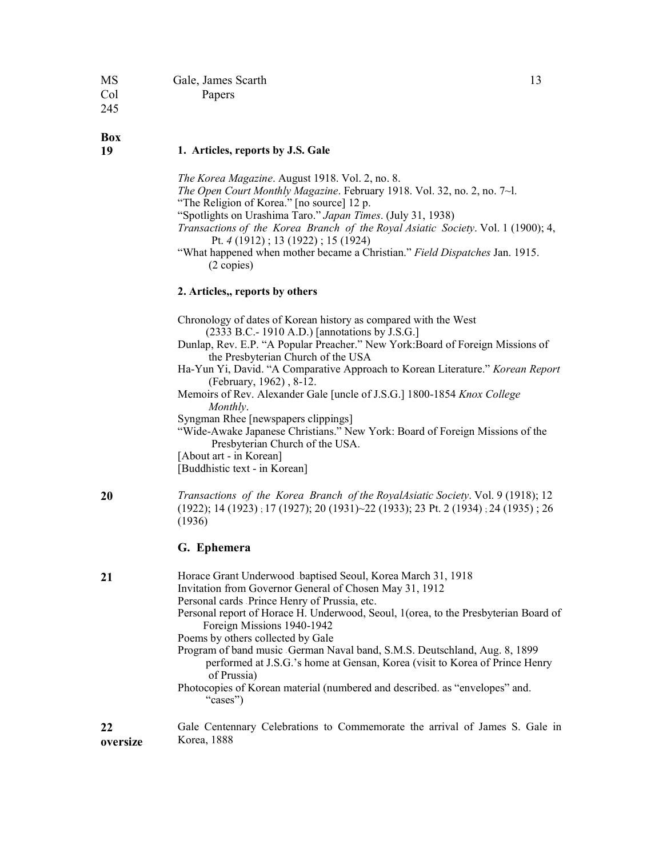245

Box<br>19

## 1. Articles, reports by J.S. Gale

|    | The Korea Magazine. August 1918. Vol. 2, no. 8.<br>The Open Court Monthly Magazine. February 1918. Vol. 32, no. 2, no. 7~1.<br>"The Religion of Korea." [no source] 12 p.<br>"Spotlights on Urashima Taro." Japan Times. (July 31, 1938)<br>Transactions of the Korea Branch of the Royal Asiatic Society. Vol. 1 (1900); 4,<br>Pt. $4(1912)$ ; 13 (1922); 15 (1924)<br>"What happened when mother became a Christian." Field Dispatches Jan. 1915.<br>$(2 \text{ copies})$                                                                                                                                                                                        |
|----|--------------------------------------------------------------------------------------------------------------------------------------------------------------------------------------------------------------------------------------------------------------------------------------------------------------------------------------------------------------------------------------------------------------------------------------------------------------------------------------------------------------------------------------------------------------------------------------------------------------------------------------------------------------------|
|    | 2. Articles,, reports by others                                                                                                                                                                                                                                                                                                                                                                                                                                                                                                                                                                                                                                    |
|    | Chronology of dates of Korean history as compared with the West<br>(2333 B.C.-1910 A.D.) [annotations by J.S.G.]<br>Dunlap, Rev. E.P. "A Popular Preacher." New York: Board of Foreign Missions of<br>the Presbyterian Church of the USA<br>Ha-Yun Yi, David. "A Comparative Approach to Korean Literature." Korean Report<br>(February, 1962), 8-12.<br>Memoirs of Rev. Alexander Gale [uncle of J.S.G.] 1800-1854 Knox College<br>Monthly.<br>Syngman Rhee [newspapers clippings]<br>"Wide-Awake Japanese Christians." New York: Board of Foreign Missions of the<br>Presbyterian Church of the USA.<br>[About art - in Korean]<br>[Buddhistic text - in Korean] |
| 20 | Transactions of the Korea Branch of the RoyalAsiatic Society. Vol. 9 (1918); 12<br>$(1922); 14 (1923); 17 (1927); 20 (1931)~22 (1933); 23 Pt. 2 (1934); 24 (1935); 26$<br>(1936)                                                                                                                                                                                                                                                                                                                                                                                                                                                                                   |
|    | G. Ephemera                                                                                                                                                                                                                                                                                                                                                                                                                                                                                                                                                                                                                                                        |
| 21 | Horace Grant Underwood baptised Seoul, Korea March 31, 1918<br>Invitation from Governor General of Chosen May 31, 1912<br>Personal cards Prince Henry of Prussia, etc.<br>Personal report of Horace H. Underwood, Seoul, 1(orea, to the Presbyterian Board of<br>Foreign Missions 1940-1942<br>Poems by others collected by Gale<br>Program of band music German Naval band, S.M.S. Deutschland, Aug. 8, 1899<br>performed at J.S.G.'s home at Gensan, Korea (visit to Korea of Prince Henry<br>of Prussia)<br>Photocopies of Korean material (numbered and described. as "envelopes" and.<br>"cases")                                                             |
| 22 | Gale Centennary Celebrations to Commemorate the arrival of James S. Gale in                                                                                                                                                                                                                                                                                                                                                                                                                                                                                                                                                                                        |

22 oversize

Korea, 1888